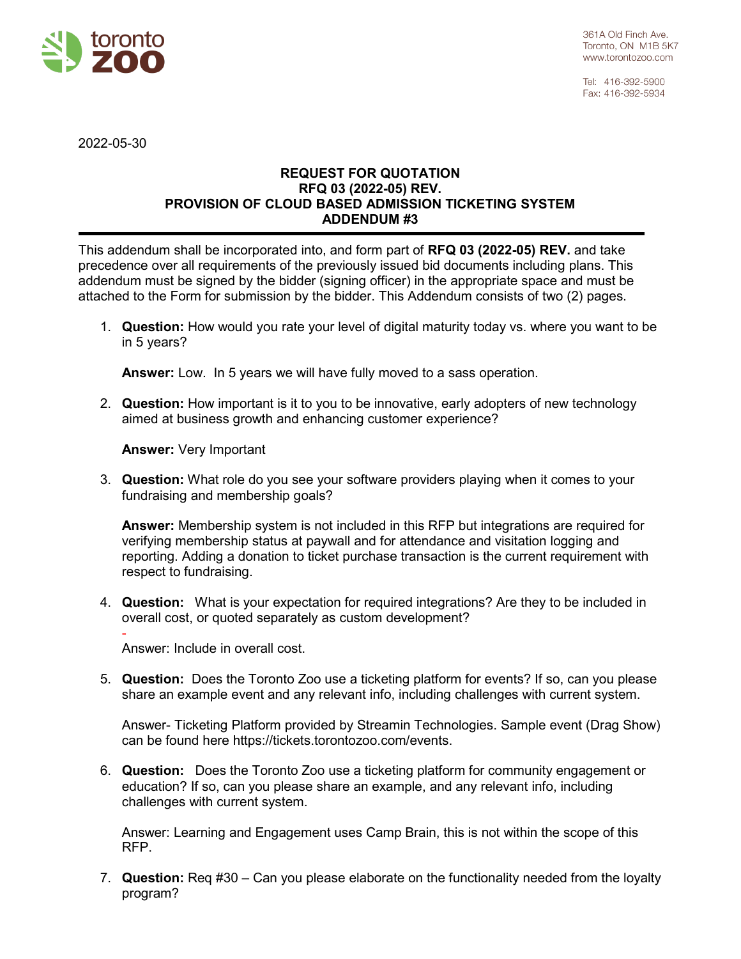

Tel: 416-392-5900 Fax: 416-392-5934

2022-05-30

## **REQUEST FOR QUOTATION RFQ 03 (2022-05) REV. PROVISION OF CLOUD BASED ADMISSION TICKETING SYSTEM ADDENDUM #3**

This addendum shall be incorporated into, and form part of **RFQ 03 (2022-05) REV.** and take precedence over all requirements of the previously issued bid documents including plans. This addendum must be signed by the bidder (signing officer) in the appropriate space and must be attached to the Form for submission by the bidder. This Addendum consists of two (2) pages.

1. **Question:** How would you rate your level of digital maturity today vs. where you want to be in 5 years?

**Answer:** Low. In 5 years we will have fully moved to a sass operation.

2. **Question:** How important is it to you to be innovative, early adopters of new technology aimed at business growth and enhancing customer experience?

**Answer:** Very Important

3. **Question:** What role do you see your software providers playing when it comes to your fundraising and membership goals?

**Answer:** Membership system is not included in this RFP but integrations are required for verifying membership status at paywall and for attendance and visitation logging and reporting. Adding a donation to ticket purchase transaction is the current requirement with respect to fundraising.

4. **Question:** What is your expectation for required integrations? Are they to be included in overall cost, or quoted separately as custom development?

- Answer: Include in overall cost.

5. **Question:** Does the Toronto Zoo use a ticketing platform for events? If so, can you please share an example event and any relevant info, including challenges with current system.

Answer- Ticketing Platform provided by Streamin Technologies. Sample event (Drag Show) can be found here https://tickets.torontozoo.com/events.

6. **Question:** Does the Toronto Zoo use a ticketing platform for community engagement or education? If so, can you please share an example, and any relevant info, including challenges with current system.

Answer: Learning and Engagement uses Camp Brain, this is not within the scope of this RFP.

7. **Question:** Req #30 – Can you please elaborate on the functionality needed from the loyalty program?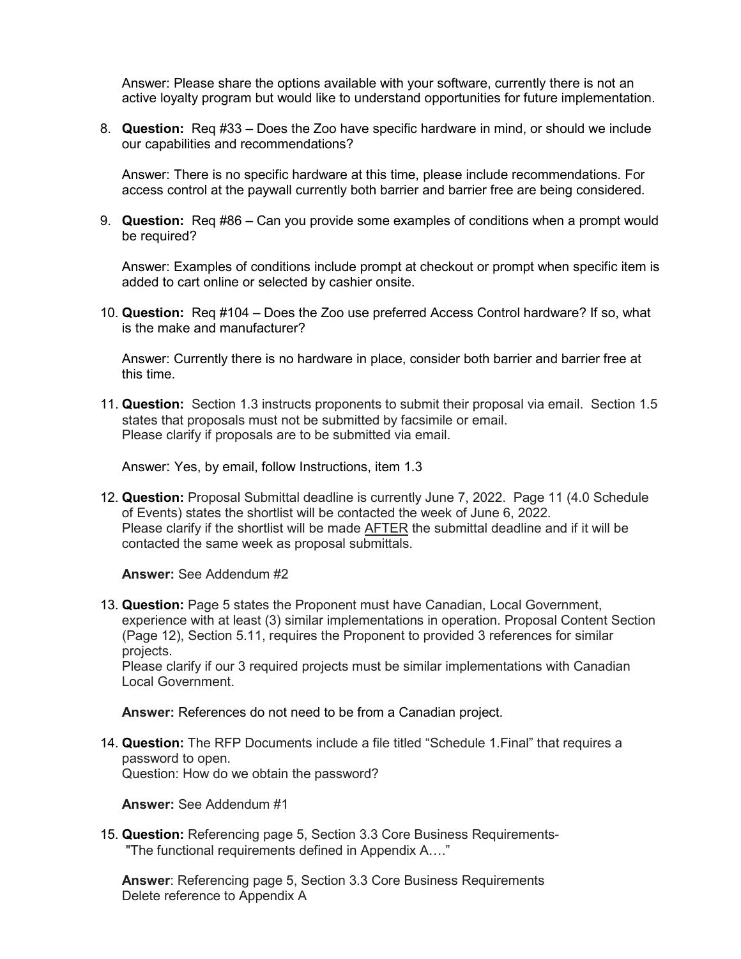Answer: Please share the options available with your software, currently there is not an active loyalty program but would like to understand opportunities for future implementation.

8. **Question:** Req #33 – Does the Zoo have specific hardware in mind, or should we include our capabilities and recommendations?

Answer: There is no specific hardware at this time, please include recommendations. For access control at the paywall currently both barrier and barrier free are being considered.

9. **Question:** Req #86 – Can you provide some examples of conditions when a prompt would be required?

Answer: Examples of conditions include prompt at checkout or prompt when specific item is added to cart online or selected by cashier onsite.

10. **Question:** Req #104 – Does the Zoo use preferred Access Control hardware? If so, what is the make and manufacturer?

Answer: Currently there is no hardware in place, consider both barrier and barrier free at this time.

11. **Question:** Section 1.3 instructs proponents to submit their proposal via email. Section 1.5 states that proposals must not be submitted by facsimile or email. Please clarify if proposals are to be submitted via email.

Answer: Yes, by email, follow Instructions, item 1.3

12. **Question:** Proposal Submittal deadline is currently June 7, 2022. Page 11 (4.0 Schedule of Events) states the shortlist will be contacted the week of June 6, 2022. Please clarify if the shortlist will be made AFTER the submittal deadline and if it will be contacted the same week as proposal submittals.

**Answer:** See Addendum #2

13. **Question:** Page 5 states the Proponent must have Canadian, Local Government, experience with at least (3) similar implementations in operation. Proposal Content Section (Page 12), Section 5.11, requires the Proponent to provided 3 references for similar projects.

Please clarify if our 3 required projects must be similar implementations with Canadian Local Government.

**Answer:** References do not need to be from a Canadian project.

14. **Question:** The RFP Documents include a file titled "Schedule 1.Final" that requires a password to open. Question: How do we obtain the password?

**Answer:** See Addendum #1

15. **Question:** Referencing page 5, Section 3.3 Core Business Requirements- "The functional requirements defined in Appendix A…."

**Answer**: Referencing page 5, Section 3.3 Core Business Requirements Delete reference to Appendix A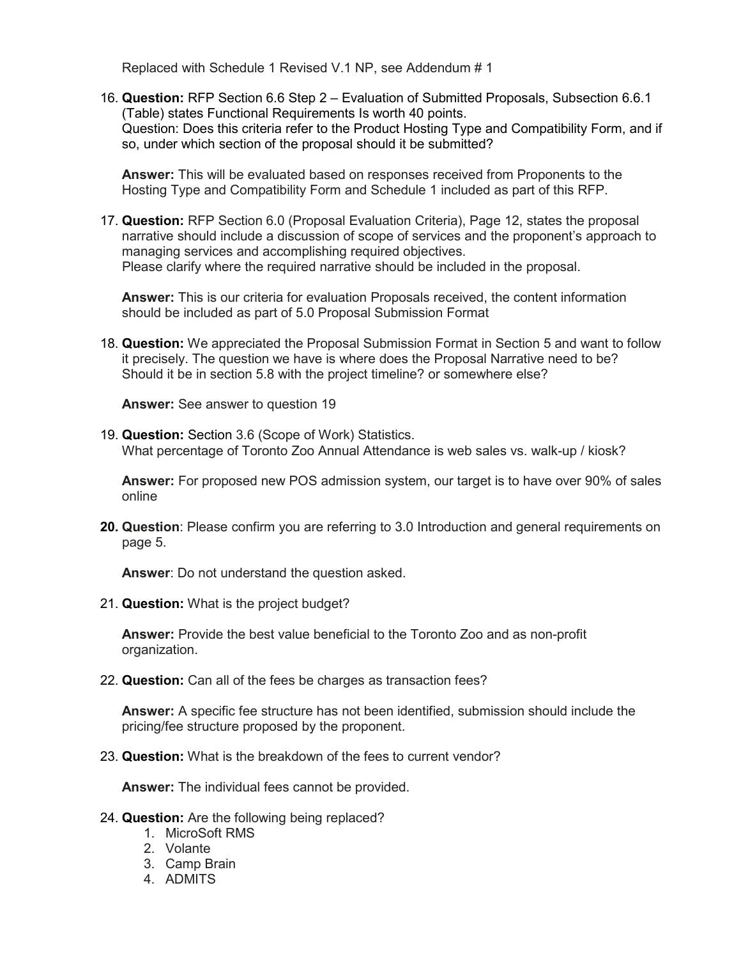Replaced with Schedule 1 Revised V.1 NP, see Addendum # 1

16. **Question:** RFP Section 6.6 Step 2 – Evaluation of Submitted Proposals, Subsection 6.6.1 (Table) states Functional Requirements Is worth 40 points. Question: Does this criteria refer to the Product Hosting Type and Compatibility Form, and if so, under which section of the proposal should it be submitted?

**Answer:** This will be evaluated based on responses received from Proponents to the Hosting Type and Compatibility Form and Schedule 1 included as part of this RFP.

17. **Question:** RFP Section 6.0 (Proposal Evaluation Criteria), Page 12, states the proposal narrative should include a discussion of scope of services and the proponent's approach to managing services and accomplishing required objectives. Please clarify where the required narrative should be included in the proposal.

**Answer:** This is our criteria for evaluation Proposals received, the content information should be included as part of 5.0 Proposal Submission Format

18. **Question:** We appreciated the Proposal Submission Format in Section 5 and want to follow it precisely. The question we have is where does the Proposal Narrative need to be? Should it be in section 5.8 with the project timeline? or somewhere else?

**Answer:** See answer to question 19

19. **Question:** Section 3.6 (Scope of Work) Statistics. What percentage of Toronto Zoo Annual Attendance is web sales vs. walk-up / kiosk?

**Answer:** For proposed new POS admission system, our target is to have over 90% of sales online

**20. Question**: Please confirm you are referring to 3.0 Introduction and general requirements on page 5.

**Answer**: Do not understand the question asked.

21. **Question:** What is the project budget?

**Answer:** Provide the best value beneficial to the Toronto Zoo and as non-profit organization.

22. **Question:** Can all of the fees be charges as transaction fees?

**Answer:** A specific fee structure has not been identified, submission should include the pricing/fee structure proposed by the proponent.

23. **Question:** What is the breakdown of the fees to current vendor?

**Answer:** The individual fees cannot be provided.

- 24. **Question:** Are the following being replaced?
	- 1. MicroSoft RMS
	- 2. Volante
	- 3. Camp Brain
	- 4. ADMITS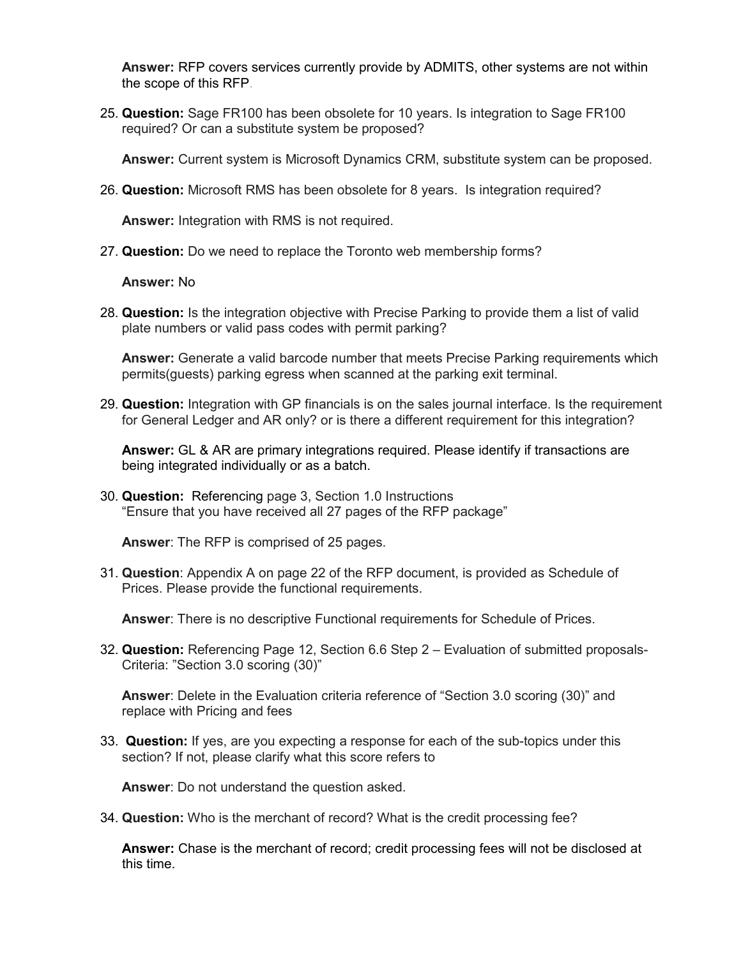**Answer:** RFP covers services currently provide by ADMITS, other systems are not within the scope of this RFP.

25. **Question:** Sage FR100 has been obsolete for 10 years. Is integration to Sage FR100 required? Or can a substitute system be proposed?

**Answer:** Current system is Microsoft Dynamics CRM, substitute system can be proposed.

26. **Question:** Microsoft RMS has been obsolete for 8 years. Is integration required?

**Answer:** Integration with RMS is not required.

27. **Question:** Do we need to replace the Toronto web membership forms?

**Answer:** No

28. **Question:** Is the integration objective with Precise Parking to provide them a list of valid plate numbers or valid pass codes with permit parking?

**Answer:** Generate a valid barcode number that meets Precise Parking requirements which permits(guests) parking egress when scanned at the parking exit terminal.

29. **Question:** Integration with GP financials is on the sales journal interface. Is the requirement for General Ledger and AR only? or is there a different requirement for this integration?

**Answer:** GL & AR are primary integrations required. Please identify if transactions are being integrated individually or as a batch.

30. **Question:** Referencing page 3, Section 1.0 Instructions "Ensure that you have received all 27 pages of the RFP package"

**Answer**: The RFP is comprised of 25 pages.

31. **Question**: Appendix A on page 22 of the RFP document, is provided as Schedule of Prices. Please provide the functional requirements.

**Answer**: There is no descriptive Functional requirements for Schedule of Prices.

32. **Question:** Referencing Page 12, Section 6.6 Step 2 – Evaluation of submitted proposals-Criteria: "Section 3.0 scoring (30)"

**Answer**: Delete in the Evaluation criteria reference of "Section 3.0 scoring (30)" and replace with Pricing and fees

33. **Question:** If yes, are you expecting a response for each of the sub-topics under this section? If not, please clarify what this score refers to

**Answer**: Do not understand the question asked.

34. **Question:** Who is the merchant of record? What is the credit processing fee?

**Answer:** Chase is the merchant of record; credit processing fees will not be disclosed at this time.